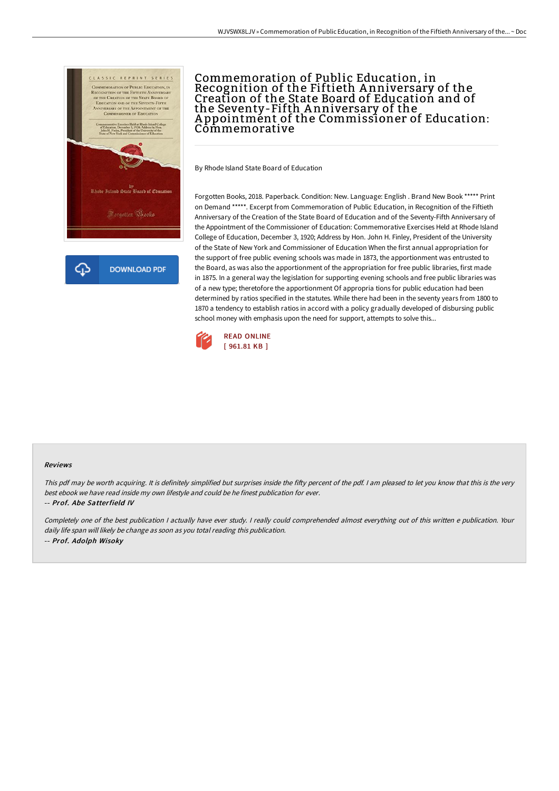

## Commemoration of Public Education, in Recognition of the Fiftieth A nniversary of the Creation of the State Board of Education and of the Seventy-Fifth A nniversary of the A ppointment of the Commissioner of Education: Commemorative

By Rhode Island State Board of Education

Forgotten Books, 2018. Paperback. Condition: New. Language: English . Brand New Book \*\*\*\*\* Print on Demand \*\*\*\*\*. Excerpt from Commemoration of Public Education, in Recognition of the Fiftieth Anniversary of the Creation of the State Board of Education and of the Seventy-Fifth Anniversary of the Appointment of the Commissioner of Education: Commemorative Exercises Held at Rhode Island College of Education, December 3, 1920; Address by Hon. John H. Finley, President of the University of the State of New York and Commissioner of Education When the first annual appropriation for the support of free public evening schools was made in 1873, the apportionment was entrusted to the Board, as was also the apportionment of the appropriation for free public libraries, first made in 1875. In a general way the legislation for supporting evening schools and free public libraries was of a new type; theretofore the apportionment Of appropria tions for public education had been determined by ratios specified in the statutes. While there had been in the seventy years from 1800 to 1870 a tendency to establish ratios in accord with a policy gradually developed of disbursing public school money with emphasis upon the need for support, attempts to solve this...



## Reviews

This pdf may be worth acquiring. It is definitely simplified but surprises inside the fifty percent of the pdf. I am pleased to let you know that this is the very best ebook we have read inside my own lifestyle and could be he finest publication for ever. -- Prof. Abe Satterfield IV

Completely one of the best publication <sup>I</sup> actually have ever study. <sup>I</sup> really could comprehended almost everything out of this written <sup>e</sup> publication. Your daily life span will likely be change as soon as you total reading this publication. -- Prof. Adolph Wisoky